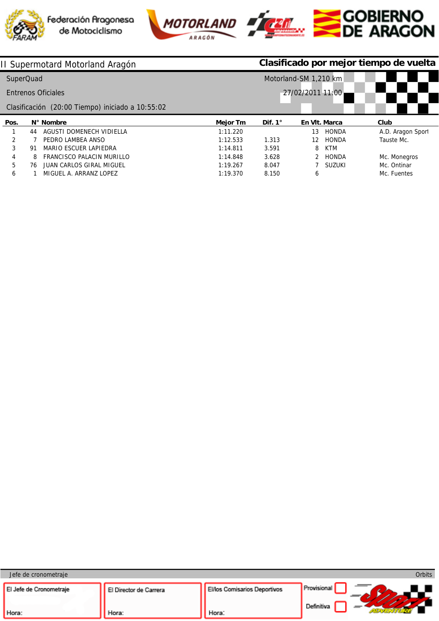





| II Supermotard Motorland Aragón |           |                                                  |                       |                | Clasificado por mejor tiempo de vuelta |               |                   |  |  |
|---------------------------------|-----------|--------------------------------------------------|-----------------------|----------------|----------------------------------------|---------------|-------------------|--|--|
|                                 | SuperQuad |                                                  | Motorland-SM 1,210 km |                |                                        |               |                   |  |  |
|                                 |           | <b>Entrenos Oficiales</b>                        | 27/02/2011 11:00      |                |                                        |               |                   |  |  |
|                                 |           | Clasificación (20:00 Tiempo) iniciado a 10:55:02 |                       |                |                                        |               |                   |  |  |
| Pos.                            |           | N° Nombre                                        | <b>Mejor Tm</b>       | Dif. $1^\circ$ | En VIt. Marca                          |               | Club              |  |  |
|                                 | 44        | AGUSTI DOMENECH VIDIELLA                         | 1:11.220              |                | 13                                     | <b>HONDA</b>  | A.D. Aragon Sport |  |  |
| $\mathcal{P}$                   |           | PEDRO LAMBEA ANSO                                | 1:12.533              | 1.313          | 12 <sup>1</sup>                        | <b>HONDA</b>  | Tauste Mc.        |  |  |
| 3                               | -91       | MARIO ESCUER LAPIEDRA                            | 1:14.811              | 3.591          | 8                                      | <b>KTM</b>    |                   |  |  |
| 4                               | 8         | FRANCISCO PALACIN MURILLO                        | 1:14.848              | 3.628          |                                        | <b>HONDA</b>  | Mc. Monegros      |  |  |
| 5                               | 76        | JUAN CARLOS GIRAL MIGUEL                         | 1:19.267              | 8.047          |                                        | <b>SUZUKI</b> | Mc. Ontinar       |  |  |
| 6                               |           | MIGUEL A. ARRANZ LOPEZ                           | 1:19.370              | 8.150          | 6                                      |               | Mc. Fuentes       |  |  |

| Jefe de cronometraje    |                        |                                     | Orbits      |
|-------------------------|------------------------|-------------------------------------|-------------|
| El Jefe de Cronometraje | El Director de Carrera | <b>El/los Comisarios Deportivos</b> | Provisional |
| Hora:                   | Hora:                  | Hora:                               | Definitiva  |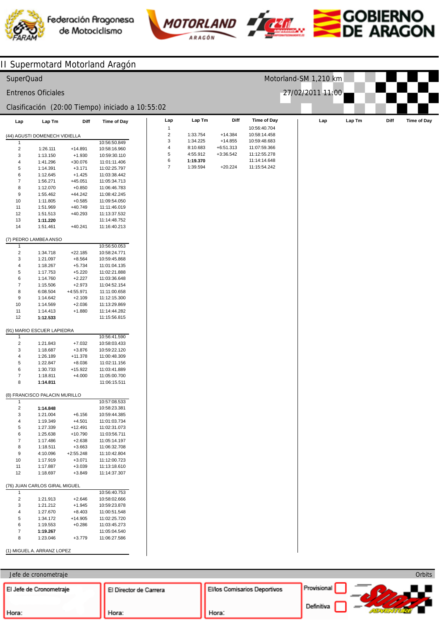







Orbits

# II Supermotard Motorland Aragón

| SuperQuad               |                               |                       |                                                  |                         |                      |                            |                                    | Motorland-SM 1,210 km |        |      |                    |
|-------------------------|-------------------------------|-----------------------|--------------------------------------------------|-------------------------|----------------------|----------------------------|------------------------------------|-----------------------|--------|------|--------------------|
|                         | <b>Entrenos Oficiales</b>     |                       |                                                  |                         |                      |                            |                                    | 27/02/2011 11:00      |        |      |                    |
|                         |                               |                       | Clasificación (20:00 Tiempo) iniciado a 10:55:02 |                         |                      |                            |                                    |                       |        |      |                    |
| Lap                     | Lap Tm                        | Diff                  | <b>Time of Day</b>                               | Lap<br>1                | Lap Tm               | Diff                       | <b>Time of Day</b><br>10:56:40.704 | Lap                   | Lap Tm | Diff | <b>Time of Day</b> |
|                         | (44) AGUSTI DOMENECH VIDIELLA |                       |                                                  | $\overline{\mathbf{c}}$ | 1:33.754             | $+14.384$                  | 10:58:14.458                       |                       |        |      |                    |
| 1                       |                               |                       | 10:56:50.849                                     | 3                       | 1:34.225             | $+14.855$                  | 10:59:48.683                       |                       |        |      |                    |
| $\sqrt{2}$              | 1:26.111                      | $+14.891$             | 10:58:16.960                                     | 4<br>5                  | 8:10.683             | $+6:51.313$<br>$+3:36.542$ | 11:07:59.366<br>11:12:55.278       |                       |        |      |                    |
| 3                       | 1:13.150                      | $+1.930$              | 10:59:30.110                                     | 6                       | 4:55.912<br>1:19.370 |                            | 11:14:14.648                       |                       |        |      |                    |
| 4                       | 1:41.296                      | $+30.076$             | 11:01:11.406<br>11:02:25.797                     | $\overline{7}$          | 1:39.594             | $+20.224$                  | 11:15:54.242                       |                       |        |      |                    |
| 5<br>6                  | 1:14.391<br>1:12.645          | $+3.171$<br>$+1.425$  | 11:03:38.442                                     |                         |                      |                            |                                    |                       |        |      |                    |
| $\boldsymbol{7}$        | 1:56.271                      | $+45.051$             | 11:05:34.713                                     |                         |                      |                            |                                    |                       |        |      |                    |
| 8                       | 1:12.070                      | $+0.850$              | 11:06:46.783                                     |                         |                      |                            |                                    |                       |        |      |                    |
| $\boldsymbol{9}$        | 1:55.462                      | +44.242               | 11:08:42.245                                     |                         |                      |                            |                                    |                       |        |      |                    |
| 10                      | 1:11.805                      | $+0.585$              | 11:09:54.050                                     |                         |                      |                            |                                    |                       |        |      |                    |
| 11                      | 1:51.969                      | +40.749               | 11:11:46.019                                     |                         |                      |                            |                                    |                       |        |      |                    |
| 12                      | 1:51.513                      | $+40.293$             | 11:13:37.532                                     |                         |                      |                            |                                    |                       |        |      |                    |
| 13                      | 1:11.220                      |                       | 11:14:48.752                                     |                         |                      |                            |                                    |                       |        |      |                    |
| 14                      | 1:51.461                      | $+40.241$             | 11:16:40.213                                     |                         |                      |                            |                                    |                       |        |      |                    |
|                         | (7) PEDRO LAMBEA ANSO         |                       |                                                  |                         |                      |                            |                                    |                       |        |      |                    |
| 1                       |                               |                       | 10:56:50.053                                     |                         |                      |                            |                                    |                       |        |      |                    |
| $\overline{\mathbf{c}}$ | 1:34.718                      | $+22.185$             | 10:58:24.771                                     |                         |                      |                            |                                    |                       |        |      |                    |
| 3                       | 1:21.097                      | $+8.564$              | 10:59:45.868                                     |                         |                      |                            |                                    |                       |        |      |                    |
| 4                       | 1:18.267                      | $+5.734$              | 11:01:04.135                                     |                         |                      |                            |                                    |                       |        |      |                    |
| 5                       | 1:17.753                      | $+5.220$              | 11:02:21.888                                     |                         |                      |                            |                                    |                       |        |      |                    |
| 6                       | 1:14.760                      | $+2.227$              | 11:03:36.648                                     |                         |                      |                            |                                    |                       |        |      |                    |
| $\boldsymbol{7}$        | 1:15.506                      | $+2.973$              | 11:04:52.154                                     |                         |                      |                            |                                    |                       |        |      |                    |
| 8                       | 6:08.504                      | +4:55.971             | 11:11:00.658                                     |                         |                      |                            |                                    |                       |        |      |                    |
| $\boldsymbol{9}$        | 1:14.642                      | $+2.109$              | 11:12:15.300                                     |                         |                      |                            |                                    |                       |        |      |                    |
| 10<br>11                | 1:14.569<br>1:14.413          | $+2.036$<br>$+1.880$  | 11:13:29.869                                     |                         |                      |                            |                                    |                       |        |      |                    |
| 12                      | 1:12.533                      |                       | 11:14:44.282<br>11:15:56.815                     |                         |                      |                            |                                    |                       |        |      |                    |
|                         |                               |                       |                                                  |                         |                      |                            |                                    |                       |        |      |                    |
| 1                       | (91) MARIO ESCUER LAPIEDRA    |                       | 10:56:41.590                                     |                         |                      |                            |                                    |                       |        |      |                    |
| $\sqrt{2}$              | 1:21.843                      | $+7.032$              | 10:58:03.433                                     |                         |                      |                            |                                    |                       |        |      |                    |
| 3                       | 1:18.687                      | $+3.876$              | 10:59:22.120                                     |                         |                      |                            |                                    |                       |        |      |                    |
| 4                       | 1:26.189                      | $+11.378$             | 11:00:48.309                                     |                         |                      |                            |                                    |                       |        |      |                    |
| 5                       | 1:22.847                      | $+8.036$              | 11:02:11.156                                     |                         |                      |                            |                                    |                       |        |      |                    |
| 6                       | 1:30.733                      | $+15.922$             | 11:03:41.889                                     |                         |                      |                            |                                    |                       |        |      |                    |
| $\overline{7}$          | 1:18.811                      | $+4.000$              | 11:05:00.700                                     |                         |                      |                            |                                    |                       |        |      |                    |
| 8                       | 1:14.811                      |                       | 11:06:15.511                                     |                         |                      |                            |                                    |                       |        |      |                    |
|                         | (8) FRANCISCO PALACIN MURILLO |                       |                                                  |                         |                      |                            |                                    |                       |        |      |                    |
| -1                      |                               |                       | 10:57:08.533                                     |                         |                      |                            |                                    |                       |        |      |                    |
| $\overline{\mathbf{c}}$ | 1:14.848                      |                       | 10:58:23.381                                     |                         |                      |                            |                                    |                       |        |      |                    |
| 3                       | 1:21.004                      | $+6.156$              | 10:59:44.385                                     |                         |                      |                            |                                    |                       |        |      |                    |
| 4                       | 1:19.349                      | $+4.501$              | 11:01:03.734                                     |                         |                      |                            |                                    |                       |        |      |                    |
| 5                       | 1:27.339                      | $+12.491$             | 11:02:31.073                                     |                         |                      |                            |                                    |                       |        |      |                    |
| 6                       | 1:25.638                      | $+10.790$             | 11:03:56.711                                     |                         |                      |                            |                                    |                       |        |      |                    |
| $\boldsymbol{7}$        | 1:17.486                      | $+2.638$              | 11:05:14.197                                     |                         |                      |                            |                                    |                       |        |      |                    |
| 8                       | 1:18.511                      | $+3.663$              | 11:06:32.708                                     |                         |                      |                            |                                    |                       |        |      |                    |
| $\boldsymbol{9}$        | 4:10.096                      | $+2:55.248$           | 11:10:42.804                                     |                         |                      |                            |                                    |                       |        |      |                    |
| 10<br>11                | 1:17.919<br>1:17.887          | $+3.071$<br>$+3.039$  | 11:12:00.723<br>11:13:18.610                     |                         |                      |                            |                                    |                       |        |      |                    |
| 12                      | 1:18.697                      | $+3.849$              | 11:14:37.307                                     |                         |                      |                            |                                    |                       |        |      |                    |
|                         |                               |                       |                                                  |                         |                      |                            |                                    |                       |        |      |                    |
|                         | (76) JUAN CARLOS GIRAL MIGUEL |                       |                                                  |                         |                      |                            |                                    |                       |        |      |                    |
| $\mathbf{1}$            |                               |                       | 10:56:40.753                                     |                         |                      |                            |                                    |                       |        |      |                    |
| $\sqrt{2}$              | 1:21.913                      | $+2.646$              | 10:58:02.666                                     |                         |                      |                            |                                    |                       |        |      |                    |
| 3                       | 1:21.212                      | $+1.945$              | 10:59:23.878                                     |                         |                      |                            |                                    |                       |        |      |                    |
| 4<br>5                  | 1:27.670<br>1:34.172          | $+8.403$<br>$+14.905$ | 11:00:51.548<br>11:02:25.720                     |                         |                      |                            |                                    |                       |        |      |                    |
| 6                       | 1:19.553                      | $+0.286$              | 11:03:45.273                                     |                         |                      |                            |                                    |                       |        |      |                    |
| $\overline{7}$          | 1:19.267                      |                       | 11:05:04.540                                     |                         |                      |                            |                                    |                       |        |      |                    |
| 8                       | 1:23.046                      | $+3.779$              | 11:06:27.586                                     |                         |                      |                            |                                    |                       |        |      |                    |
|                         | (1) MIGUEL A. ARRANZ LOPEZ    |                       |                                                  |                         |                      |                            |                                    |                       |        |      |                    |

Jefe de cronometraje

Director de Carrera Provisional El/los Comisarios Deportivos El Director de Carrera www.sport-adventure.net  $\sim$  m Licenciado a: SPORT ADVENTURE Definitiva Hora: Hora: Hora: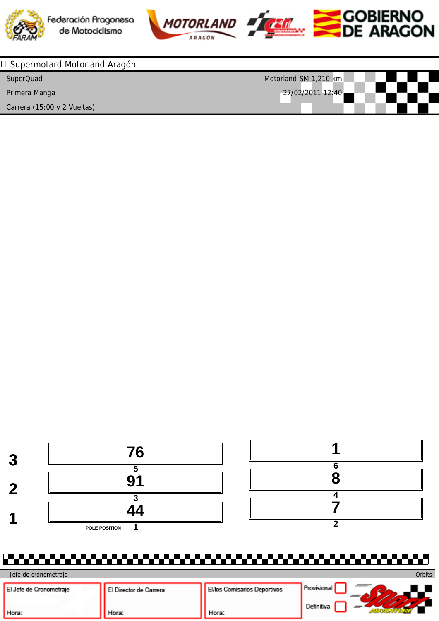



| II Supermotard Motorland Aragón |                       |
|---------------------------------|-----------------------|
| SuperQuad                       | Motorland-SM 1,210 km |
| Primera Manga                   | $27/02/2011$ 12:40    |
| Carrera (15:00 y 2 Vueltas)     |                       |



| Jefe de cronometraje    |                        |                                     | Orbits          |
|-------------------------|------------------------|-------------------------------------|-----------------|
| El Jefe de Cronometraje | El Director de Carrera | <b>El/los Comisarios Deportivos</b> | * Provisional . |
| Hora:                   | Hora:                  | Hora:                               | Definitiva      |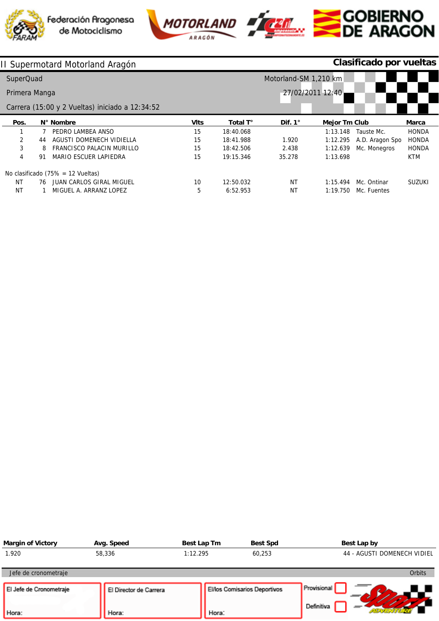





# SCOBIERNO<br>SDE ARAGON

|               |    | II Supermotard Motorland Aragón                 | Clasificado por vueltas |           |                       |                      |                 |               |
|---------------|----|-------------------------------------------------|-------------------------|-----------|-----------------------|----------------------|-----------------|---------------|
| SuperQuad     |    |                                                 |                         |           | Motorland-SM 1,210 km |                      |                 |               |
| Primera Manga |    |                                                 |                         |           |                       | 27/02/2011 12:40     |                 |               |
|               |    | Carrera (15:00 y 2 Vueltas) iniciado a 12:34:52 |                         |           |                       |                      |                 |               |
| Pos.          |    | N° Nombre                                       | <b>VIts</b>             | Total T°  | Dif. $1^\circ$        | <b>Mejor Tm Club</b> |                 | <b>Marca</b>  |
|               |    | PEDRO LAMBEA ANSO                               | 15                      | 18:40.068 |                       | 1:13.148             | Tauste Mc.      | <b>HONDA</b>  |
| 2             | 44 | AGUSTI DOMENECH VIDIELLA                        | 15                      | 18:41.988 | 1.920                 | 1:12.295             | A.D. Aragon Spo | <b>HONDA</b>  |
| 3             | 8  | FRANCISCO PALACIN MURILLO                       | 15                      | 18:42.506 | 2.438                 | 1:12.639             | Mc. Monegros    | <b>HONDA</b>  |
| 4             | 91 | <b>MARIO ESCUER LAPIEDRA</b>                    | 15                      | 19:15.346 | 35.278                | 1:13.698             |                 | <b>KTM</b>    |
|               |    | No clasificado $(75\% = 12$ Vueltas)            |                         |           |                       |                      |                 |               |
| NT            | 76 | JUAN CARLOS GIRAL MIGUEL                        | 10                      | 12:50.032 | NT                    | 1:15.494             | Mc. Ontinar     | <b>SUZUKI</b> |
| <b>NT</b>     |    | MIGUEL A. ARRANZ LOPEZ                          | 5                       | 6:52.953  | ΝT                    | 1:19.750             | Mc. Fuentes     |               |

| <b>Margin of Victory</b>         | Avg. Speed                      | Best Lap Tm | <b>Best Spd</b>              | Best Lap by                 |
|----------------------------------|---------------------------------|-------------|------------------------------|-----------------------------|
| 1.920                            | 58,336                          | 1:12.295    | 60,253                       | 44 - AGUSTI DOMENECH VIDIEL |
| Jefe de cronometraje             |                                 |             |                              | Orbits                      |
| El Jefe de Cronometraje<br>Hora: | El Director de Carrera<br>Hora: | Hora:       | El/los Comisarios Deportivos | Provisional<br>Definitiva   |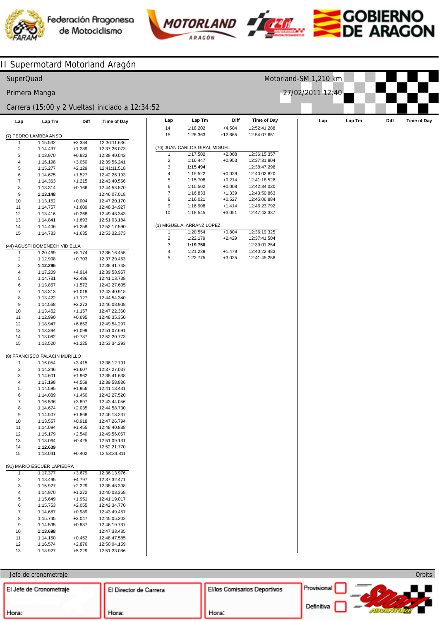





# MOTORLAND **FICER SOBIERNO**

**Orbits** 

#### **Lap** 14 15 (76) JUAN CARLOS GIRAL MIGUEL 1  $\mathcal{L}$ 3 4 5 6 7 8 9 10 (1) MIGUEL A. ARRANZ LOPEZ 1 2 3 4 5 **Lap Tm** 1:18.202 1:26.363 1:17.502 1:16.447 **1:15.494** 1:15.522 1:15.708 1:15.502 1:16.833 1:16.021 1:16.908 1:18.545 1:20.554 1:22.179 **1:19.750** 1:21.229 1:22.775 **Diff** +4.504 +12.665 +2.008  $+0.953$ +0.028 +0.214 +0.008 +1.339 +0.527 +1.414 +3.051 +0.804 +2.429 +1.479 +3.025 **Time of Day** 12:52:41.288 12:54:07.651 12:36:15.357 12:37:31.804 12:38:47.298 12:40:02.820 12:41:18.528 12:42:34.030 12:43:50.863 12:45:06.884 12:46:23.792 12:47:42.337 12:36:19.325 12:37:41.504 12:39:01.254 12:40:22.483 12:41:45.258 **Lap Lap Lap Tm Diff Time of Day** (7) PEDRO LAMBEA ANSO 1 2 3 4 5 6 7 8  $\mathbf{q}$ 10 11 12 13 14 15 (44) AGUSTI DOMENECH VIDIELLA 1 2 3 4 5 6 7 8 9 10 11 12 13 14 15 (8) FRANCISCO PALACIN MURILLO 1  $\overline{2}$ 3 4 5 6 7 8 9 10 11 12 13 14 15 (91) MARIO ESCUER LAPIEDRA 1 2 3 4 5 6 7 8 9 10 11 12 13 **Lap Tm** 1:15.532 1:14.437 1:13.970 1:16.198 1:15.277 1:14.675 1:14.363 1:13.314 **1:13.148** 1:13.152 1:14.757 1:13.416 1:14.841 1:14.406 1:14.783 1:20.469 1:12.998 **1:12.295** 1:17.209 1:14.781 1:13.867 1:13.313 1:13.422 1:14.568 1:13.452 1:12.990 1:18.947 1:13.394 1:13.082 1:13.520 1:16.054 1:14.246 1:14.601 1:17.198 1:14.595 1:14.089 1:16.536 1:14.674 1:14.507 1:13.557 1:14.094 1:15.179 1:13.064 **1:12.639** 1:13.041 1:17.377 1:18.495 1:15.927 1:14.970 1:15.649 1:15.753 1:14.687 1:15.745 1:14.535 **1:13.698** 1:14.150 1:16.574 1:18.927 **Diff** +2.384 +1.289 +0.822 +3.050 +2.129 +1.527 +1.215 +0.166 +0.004 +1.609 +0.268 +1.693 +1.258 +1.635 +8.174 +0.703 +4.914 +2.486 +1.572 +1.018 +1.127 +2.273 +1.157 +0.695 +6.652 +1.099 +0.787 +1.225 +3.415 +1.607 +1.962 +4.559 +1.956 +1.450 +3.897 +2.035 +1.868 +0.918 +1.455 +2.540 +0.425 +0.402 +3.679 +4.797 +2.229 +1.272 +1.951 +2.055 +0.989 +2.047 +0.837 +0.452 +2.876 +5.229 **Time of Day** 12:36:11.636 12:37:26.073 12:38:40.043 12:39:56.241 12:41:11.518 12:42:26.193 12:43:40.556 12:44:53.870 12:46:07.018 12:47:20.170 12:48:34.927 12:49:48.343 12:51:03.184 12:52:17.590 12:53:32.373 12:36:16.455 12:37:29.453 12:38:41.748 12:39:58.957 12:41:13.738 12:42:27.605 12:43:40.918 12:44:54.340 12:46:08.908 12:47:22.360 12:48:35.350 12:49:54.297 12:51:07.691 12:52:20.773 12:53:34.293 12:36:12.791 12:37:27.037 12:38:41.638 12:39:58.836 12:41:13.431 12:42:27.520 12:43:44.056 12:44:58.730 12:46:13.237 12:47:26.794 12:48:40.888 12:49:56.067 12:51:09.131 12:52:21.770 12:53:34.811 12:36:13.976 12:37:32.471 12:38:48.398 12:40:03.368 12:41:19.017 12:42:34.770 12:43:49.457 12:45:05.202 12:46:19.737 12:47:33.435 12:48:47.585 12:50:04.159 12:51:23.086 II Supermotard Motorland Aragón SuperQuad Primera Manga Carrera (15:00 y 2 Vueltas) iniciado a 12:34:52 Motorland-SM 1,210 km 27/02/2011 12:40

### Jefe de cronometraje

Director de Carrera Provisional El Director de Carrera El/los Comisarios Deportivos www.sport-adventure.net  $\sim$  m Licenciado a: SPORT ADVENTURE Definitiva Hora: Hora: Hora: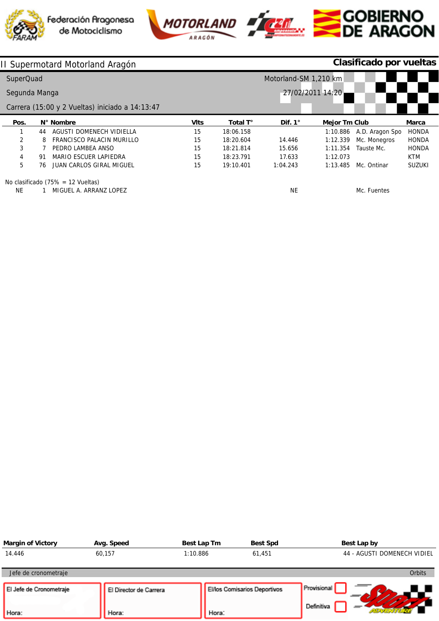





# **COBIERNO**<br>DE ARAGON

|               |    | II Supermotard Motorland Aragón                 |                       | Clasificado por vueltas |                |                      |                 |               |
|---------------|----|-------------------------------------------------|-----------------------|-------------------------|----------------|----------------------|-----------------|---------------|
| SuperQuad     |    |                                                 | Motorland-SM 1,210 km |                         |                |                      |                 |               |
| Segunda Manga |    |                                                 | 27/02/2011 14:20      |                         |                |                      |                 |               |
|               |    | Carrera (15:00 y 2 Vueltas) iniciado a 14:13:47 |                       |                         |                |                      |                 |               |
| Pos.          |    | N° Nombre                                       | <b>VIts</b>           | Total T°                | Dif. $1^\circ$ | <b>Mejor Tm Club</b> |                 | Marca         |
|               | 44 | AGUSTI DOMENECH VIDIELLA                        | 15                    | 18:06.158               |                | 1:10.886             | A.D. Aragon Spo | <b>HONDA</b>  |
| 2             | 8  | FRANCISCO PALACIN MURILLO                       | 15                    | 18:20.604               | 14.446         | 1:12.339             | Mc. Monegros    | <b>HONDA</b>  |
| 3             |    | PEDRO LAMBEA ANSO                               | 15                    | 18:21.814               | 15.656         | 1:11.354             | Tauste Mc.      | <b>HONDA</b>  |
| 4             | 91 | MARIO ESCUER LAPIEDRA                           | 15                    | 18:23.791               | 17.633         | 1:12.073             |                 | <b>KTM</b>    |
| 5             | 76 | JUAN CARLOS GIRAL MIGUEL                        | 15                    | 19:10.401               | 1:04.243       | 1:13.485             | Mc. Ontinar     | <b>SUZUKI</b> |
|               |    | $N = -1 - 15$                                   |                       |                         |                |                      |                 |               |

No clasificado (75% = 12 Vueltas)

NE 1 MIGUEL A. ARRANZ LOPEZ

NE

Mc. Fuentes

| <b>Margin of Victory</b>         | Avg. Speed                      | Best Lap Tm | <b>Best Spd</b>              | Best Lap by                 |
|----------------------------------|---------------------------------|-------------|------------------------------|-----------------------------|
| 14.446                           | 60,157                          | 1:10.886    | 61,451                       | 44 - AGUSTI DOMENECH VIDIEL |
| Jefe de cronometraje             |                                 |             |                              | <b>Orbits</b>               |
| El Jefe de Cronometraje<br>Hora: | El Director de Carrera<br>Hora: | Hora:       | El/los Comisarios Deportivos | Provisional<br>Definitiva   |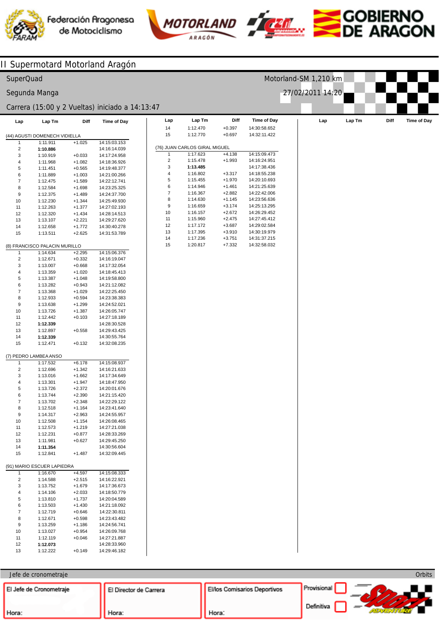



**Lap Tm**



**Time of Day** 14:30:58.652 14:32:11.422

Motorland-SM 1,210 km

27/02/2011 14:20





## SuperQuad

## Segunda Manga

### Carrera (15:00 y 2 Vueltas) iniciado a 14:13:47

| Lap                            | Lap Tm                        | Diff                 | Time of Day  | Lap            | Lap Tm                        | Diff     | <b>Time of Day</b> | Lap | Lap Tm | Diff | Time of Day |
|--------------------------------|-------------------------------|----------------------|--------------|----------------|-------------------------------|----------|--------------------|-----|--------|------|-------------|
|                                |                               |                      |              | 14             | 1:12.470                      | $+0.397$ | 14:30:58.652       |     |        |      |             |
|                                | (44) AGUSTI DOMENECH VIDIELLA |                      |              | 15             | 1:12.770                      | $+0.697$ | 14:32:11.422       |     |        |      |             |
| 1                              | 1:11.911                      | $+1.025$             | 14:15:03.153 |                |                               |          |                    |     |        |      |             |
| $\overline{\mathbf{c}}$        | 1:10.886                      |                      | 14:16:14.039 |                | (76) JUAN CARLOS GIRAL MIGUEL |          |                    |     |        |      |             |
| 3                              | 1:10.919                      | $+0.033$             | 14:17:24.958 | 1              | 1:17.623                      | $+4.138$ | 14:15:09.473       |     |        |      |             |
| 4                              | 1:11.968                      | $+1.082$             | 14:18:36.926 | $\overline{c}$ | 1:15.478                      | $+1.993$ | 14:16:24.951       |     |        |      |             |
| 5                              | 1:11.451                      | $+0.565$             | 14:19:48.377 | 3              | 1:13.485                      |          | 14:17:38.436       |     |        |      |             |
| 6                              | 1:11.889                      | $+1.003$             | 14:21:00.266 | 4              | 1:16.802                      | $+3.317$ | 14:18:55.238       |     |        |      |             |
| $\overline{7}$                 | 1:12.475                      | $+1.589$             | 14:22:12.741 | 5              | 1:15.455                      | $+1.970$ | 14:20:10.693       |     |        |      |             |
| 8                              | 1:12.584                      | $+1.698$             | 14:23:25.325 | 6              | 1:14.946                      | $+1.461$ | 14:21:25.639       |     |        |      |             |
| 9                              | 1:12.375                      | $+1.489$             | 14:24:37.700 | $\overline{7}$ | 1:16.367                      | $+2.882$ | 14:22:42.006       |     |        |      |             |
| 10                             | 1:12.230                      | $+1.344$             | 14:25:49.930 | 8              | 1:14.630                      | $+1.145$ | 14:23:56.636       |     |        |      |             |
| 11                             | 1:12.263                      | $+1.377$             | 14:27:02.193 | 9              | 1:16.659                      | $+3.174$ | 14:25:13.295       |     |        |      |             |
| 12                             | 1:12.320                      | $+1.434$             | 14:28:14.513 | 10             | 1:16.157                      | $+2.672$ | 14:26:29.452       |     |        |      |             |
| 13                             | 1:13.107                      | $+2.221$             | 14:29:27.620 | 11             | 1:15.960                      | $+2.475$ | 14:27:45.412       |     |        |      |             |
| 14                             | 1:12.658                      | $+1.772$             | 14:30:40.278 | 12             | 1:17.172                      | $+3.687$ | 14:29:02.584       |     |        |      |             |
| 15                             | 1:13.511                      | $+2.625$             | 14:31:53.789 | 13             | 1:17.395                      | $+3.910$ | 14:30:19.979       |     |        |      |             |
|                                |                               |                      |              | 14             | 1:17.236                      | $+3.751$ | 14:31:37.215       |     |        |      |             |
|                                | (8) FRANCISCO PALACIN MURILLO |                      |              | 15             | 1:20.817                      | $+7.332$ | 14:32:58.032       |     |        |      |             |
|                                |                               |                      |              |                |                               |          |                    |     |        |      |             |
| $\mathbf{1}$<br>$\overline{2}$ | 1:14.634<br>1:12.671          | $+2.295$<br>$+0.332$ | 14:15:06.376 |                |                               |          |                    |     |        |      |             |
|                                |                               |                      | 14:16:19.047 |                |                               |          |                    |     |        |      |             |
| 3                              | 1:13.007                      | $+0.668$             | 14:17:32.054 |                |                               |          |                    |     |        |      |             |
| 4                              | 1:13.359                      | $+1.020$             | 14:18:45.413 |                |                               |          |                    |     |        |      |             |
| $\,$ 5 $\,$                    | 1:13.387                      | $+1.048$             | 14:19:58.800 |                |                               |          |                    |     |        |      |             |
| 6                              | 1:13.282                      | $+0.943$             | 14:21:12.082 |                |                               |          |                    |     |        |      |             |
| $\overline{7}$                 | 1:13.368                      | $+1.029$             | 14:22:25.450 |                |                               |          |                    |     |        |      |             |
| 8                              | 1:12.933                      | $+0.594$             | 14:23:38.383 |                |                               |          |                    |     |        |      |             |
| 9                              | 1:13.638                      | $+1.299$             | 14:24:52.021 |                |                               |          |                    |     |        |      |             |
| 10                             | 1:13.726                      | $+1.387$             | 14:26:05.747 |                |                               |          |                    |     |        |      |             |
| 11                             | 1:12.442                      | $+0.103$             | 14:27:18.189 |                |                               |          |                    |     |        |      |             |
| 12                             | 1:12.339                      |                      | 14:28:30.528 |                |                               |          |                    |     |        |      |             |
| 13                             | 1:12.897                      | $+0.558$             | 14:29:43.425 |                |                               |          |                    |     |        |      |             |
| 14                             | 1:12.339                      |                      | 14:30:55.764 |                |                               |          |                    |     |        |      |             |
| 15                             | 1:12.471                      | $+0.132$             | 14:32:08.235 |                |                               |          |                    |     |        |      |             |
|                                |                               |                      |              |                |                               |          |                    |     |        |      |             |
|                                | (7) PEDRO LAMBEA ANSO         |                      |              |                |                               |          |                    |     |        |      |             |
| $\mathbf{1}$                   | 1:17.532                      | $+6.178$             | 14:15:08.937 |                |                               |          |                    |     |        |      |             |
| $\overline{c}$                 | 1:12.696                      | $+1.342$             | 14:16:21.633 |                |                               |          |                    |     |        |      |             |
| 3                              | 1:13.016                      | $+1.662$             | 14:17:34.649 |                |                               |          |                    |     |        |      |             |
| 4                              | 1:13.301                      | $+1.947$             | 14:18:47.950 |                |                               |          |                    |     |        |      |             |
| 5                              | 1:13.726                      | $+2.372$             | 14:20:01.676 |                |                               |          |                    |     |        |      |             |
| 6                              | 1:13.744                      | $+2.390$             | 14:21:15.420 |                |                               |          |                    |     |        |      |             |
| $\overline{7}$                 | 1:13.702                      | $+2.348$             | 14:22:29.122 |                |                               |          |                    |     |        |      |             |
| 8                              | 1:12.518                      | $+1.164$             | 14:23:41.640 |                |                               |          |                    |     |        |      |             |
| 9                              | 1:14.317                      | $+2.963$             | 14:24:55.957 |                |                               |          |                    |     |        |      |             |
| 10                             | 1:12.508                      | $+1.154$             | 14:26:08.465 |                |                               |          |                    |     |        |      |             |
| 11                             | 1:12.573                      | $+1.219$             | 14:27:21.038 |                |                               |          |                    |     |        |      |             |
| 12                             | 1:12.231                      | $+0.877$             | 14:28:33.269 |                |                               |          |                    |     |        |      |             |
| 13                             | 1:11.981                      | $+0.627$             | 14:29:45.250 |                |                               |          |                    |     |        |      |             |
| 14                             | 1:11.354                      |                      | 14:30:56.604 |                |                               |          |                    |     |        |      |             |
| 15                             | 1:12.841                      | $+1.487$             | 14:32:09.445 |                |                               |          |                    |     |        |      |             |
|                                |                               |                      |              |                |                               |          |                    |     |        |      |             |
|                                | (91) MARIO ESCUER LAPIEDRA    |                      |              |                |                               |          |                    |     |        |      |             |
| $\mathbf{1}$                   | 1:16.670                      | $+4.597$             | 14:15:08.333 |                |                               |          |                    |     |        |      |             |
| $\overline{c}$                 | 1:14.588                      | $+2.515$             | 14:16:22.921 |                |                               |          |                    |     |        |      |             |
| 3                              | 1:13.752                      | $+1.679$             | 14:17:36.673 |                |                               |          |                    |     |        |      |             |
| 4                              | 1:14.106                      | $+2.033$             | 14:18:50.779 |                |                               |          |                    |     |        |      |             |
| 5                              | 1:13.810                      | $+1.737$             | 14:20:04.589 |                |                               |          |                    |     |        |      |             |
| 6                              | 1:13.503                      | $+1.430$             | 14:21:18.092 |                |                               |          |                    |     |        |      |             |
| $\overline{7}$                 | 1:12.719                      | $+0.646$             | 14:22:30.811 |                |                               |          |                    |     |        |      |             |
| 8                              | 1:12.671                      | $+0.598$             | 14:23:43.482 |                |                               |          |                    |     |        |      |             |
| 9                              | 1:13.259                      | $+1.186$             | 14:24:56.741 |                |                               |          |                    |     |        |      |             |
| 10                             | 1:13.027                      | $+0.954$             | 14:26:09.768 |                |                               |          |                    |     |        |      |             |
| 11                             | 1:12.119                      | $+0.046$             | 14:27:21.887 |                |                               |          |                    |     |        |      |             |
| 12                             | 1:12.073                      |                      | 14:28:33.960 |                |                               |          |                    |     |        |      |             |

|                | (76) JUAN CARLOS GIRAL MIGUEL |          |              |
|----------------|-------------------------------|----------|--------------|
| 1              | 1:17.623                      | $+4.138$ | 14:15:09.473 |
| 2              | 1:15.478                      | $+1.993$ | 14:16:24.951 |
| 3              | 1:13.485                      |          | 14:17:38.436 |
| 4              | 1:16.802                      | $+3.317$ | 14:18:55.238 |
| 5              | 1:15.455                      | $+1.970$ | 14:20:10.693 |
| 6              | 1:14.946                      | $+1.461$ | 14:21:25.639 |
| $\overline{7}$ | 1:16.367                      | $+2.882$ | 14:22:42.006 |
| 8              | 1:14.630                      | $+1.145$ | 14:23:56.636 |
| 9              | 1:16.659                      | $+3.174$ | 14:25:13.295 |
| 10             | 1:16.157                      | $+2.672$ | 14:26:29.452 |
| 11             | 1:15.960                      | $+2.475$ | 14:27:45.412 |
| 12             | 1:17.172                      | $+3.687$ | 14:29:02.584 |
| 13             | 1:17.395                      | $+3.910$ | 14:30:19.979 |
| 14             | 1:17.236                      | $+3.751$ | 14:31:37.215 |
| 15             | 1:20.817                      | $+7.332$ | 14:32:58.032 |

**Diff** +0.397 +0.697

### Jefe de cronometraje

1:12.222

+0.149

14:29:46.182

13

| El Jefe de Cronometraje | El Director de Carrera | <b>EVos Comisarios Deportivos</b> | Provisional |
|-------------------------|------------------------|-----------------------------------|-------------|
| Hora:                   | Hora:                  | Hora:                             | Definitiva  |

Orbits